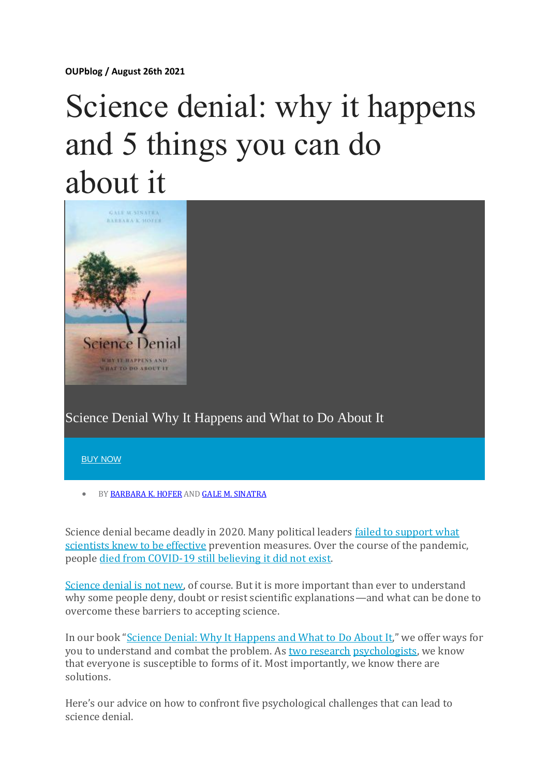**OUPblog / August 26th 2021**

# Science denial: why it happens and 5 things you can do about it



Science Denial Why It Happens and What to Do About It

BUY [NOW](https://bit.ly/2USCdZs)

• BY [BARBARA K. HOFER](https://blog.oup.com/authors/barbara-k-hofer/) AND [GALE M. SINATRA](https://blog.oup.com/authors/gale-m-sinatra/)

Science denial became deadly in 2020. Many political leaders [failed to support what](https://www.scientificamerican.com/article/the-failure-of-public-health-messaging-about-covid-19/)  [scientists knew to be effective](https://www.scientificamerican.com/article/the-failure-of-public-health-messaging-about-covid-19/) prevention measures. Over the course of the pandemic, people [died from COVID-19 still believing it did not exist.](https://www.washingtonpost.com/health/2020/11/16/south-dakota-nurse-coronavirus-deniers/)

[Science denial is not new,](https://www.simonandschuster.com/books/Galileo/Mario-Livio/9781501194740) of course. But it is more important than ever to understand why some people deny, doubt or resist scientific explanations—and what can be done to overcome these barriers to accepting science.

In our book "[Science Denial: Why It Happens and What to Do About It](https://global.oup.com/academic/product/science-denial-9780190944681)," we offer ways for you to understand and combat the problem. As [two research](https://scholar.google.com/citations?user=LzHZpAEAAAAJ&hl=en&oi=ao) [psychologists,](https://scholar.google.com/citations?user=VBvoFacAAAAJ&hl=en&oi=ao) we know that everyone is susceptible to forms of it. Most importantly, we know there are solutions.

Here's our advice on how to confront five psychological challenges that can lead to science denial.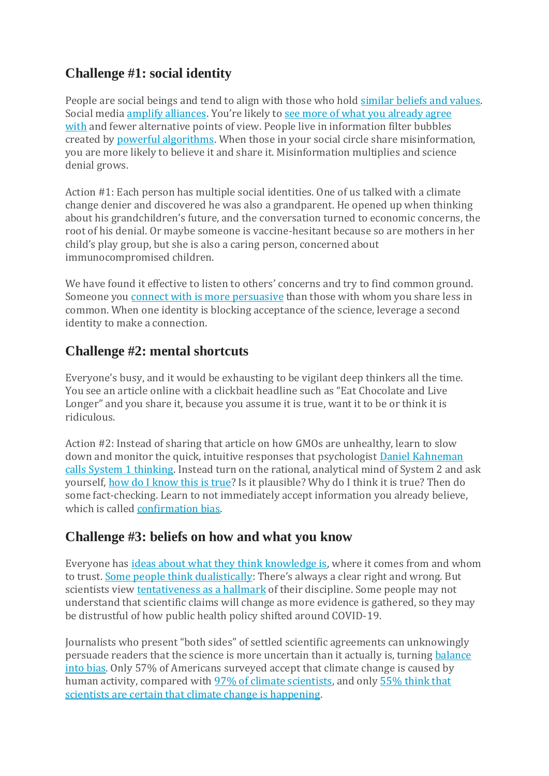# **Challenge #1: social identity**

People are social beings and tend to align with those who hold [similar beliefs and values.](https://doi.org/10.1002/9781119011071.iemp0153) Social media [amplify alliances](https://www.nature.com/articles/d43978-021-00019-4). You're likely to see more of what you already agree [with](https://www.penguinrandomhouse.com/books/309214/the-filter-bubble-by-eli-pariser/) and fewer alternative points of view. People live in information filter bubbles created by [powerful algorithms.](https://www.pewresearch.org/internet/2017/02/08/code-dependent-pros-and-cons-of-the-algorithm-age/) When those in your social circle share misinformation, you are more likely to believe it and share it. Misinformation multiplies and science denial grows.

Action #1: Each person has multiple social identities. One of us talked with a climate change denier and discovered he was also a grandparent. He opened up when thinking about his grandchildren's future, and the conversation turned to economic concerns, the root of his denial. Or maybe someone is vaccine-hesitant because so are mothers in her child's play group, but she is also a caring person, concerned about immunocompromised children.

We have found it effective to listen to others' concerns and try to find common ground. Someone you [connect with is more persuasive](https://doi.org/10.1007/s11109-015-9312-x) than those with whom you share less in common. When one identity is blocking acceptance of the science, leverage a second identity to make a connection.

## **Challenge #2: mental shortcuts**

Everyone's busy, and it would be exhausting to be vigilant deep thinkers all the time. You see an article online with a clickbait headline such as "Eat Chocolate and Live Longer" and you share it, because you assume it is true, want it to be or think it is ridiculous.

Action #2: Instead of sharing that article on how GMOs are unhealthy, learn to slow down and monitor the quick, intuitive responses that psychologist [Daniel Kahneman](https://us.macmillan.com/books/9780374533557)  [calls System 1 thinking.](https://us.macmillan.com/books/9780374533557) Instead turn on the rational, analytical mind of System 2 and ask yourself, [how do I know this is true?](https://doi.org/10.1080/00461520.2020.1730181) Is it plausible? Why do I think it is true? Then do some fact-checking. Learn to not immediately accept information you already believe, which is called [confirmation bias.](https://doi.org/10.1037/1089-2680.2.2.175)

# **Challenge #3: beliefs on how and what you know**

Everyone has [ideas about what they think knowledge is,](https://www.routledge.com/Handbook-of-Epistemic-Cognition/Greene-Sandoval-Braten/p/book/9781138013421) where it comes from and whom to trust. [Some people think dualistically](https://www.taylorfrancis.com/chapters/edit/10.4324/9781315795225-9/epistemic-cognition-psychological-construct-advancements-challenges-barbara-hofer): There's always a clear right and wrong. But scientists view [tentativeness as a hallmark](https://doi.org/10.1080/0163853X.2019.1629805) of their discipline. Some people may not understand that scientific claims will change as more evidence is gathered, so they may be distrustful of how public health policy shifted around COVID-19.

Journalists who present "both sides" of settled scientific agreements can unknowingly persuade readers that the science is more uncertain than it actually is, turning [balance](https://doi.org/10.1016/j.gloenvcha.2003.10.001)  [into bias.](https://doi.org/10.1016/j.gloenvcha.2003.10.001) Only 57% of Americans surveyed accept that climate change is caused by human activity, compared with [97% of climate scientists,](https://climate.nasa.gov/faq/17/do-scientists-agree-on-climate-change/) and only [55% think that](https://climatecommunication.yale.edu/visualizations-data/ycom-us/)  [scientists are certain that climate change is happening.](https://climatecommunication.yale.edu/visualizations-data/ycom-us/)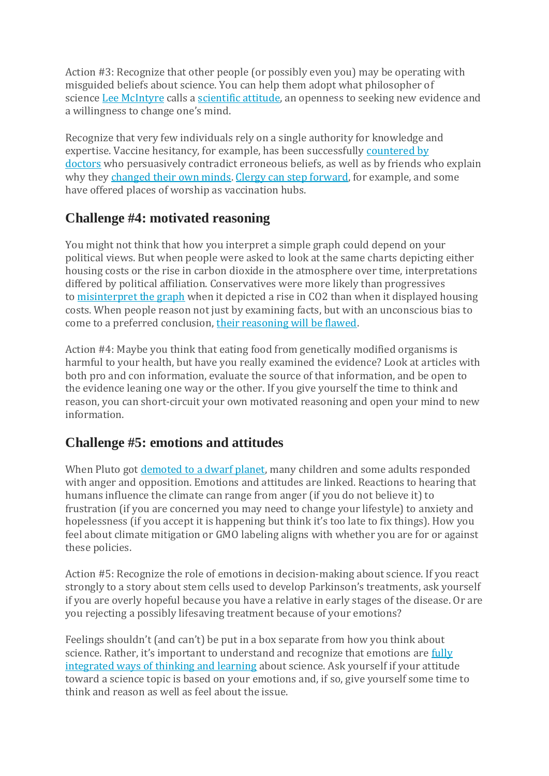Action #3: Recognize that other people (or possibly even you) may be operating with misguided beliefs about science. You can help them adopt what philosopher of science [Lee McIntyre](https://leemcintyrebooks.com/) calls a [scientific attitude,](https://mitpress.mit.edu/books/scientific-attitude) an openness to seeking new evidence and a willingness to change one's mind.

Recognize that very few individuals rely on a single authority for knowledge and expertise. Vaccine hesitancy, for example, has been successfully [countered by](https://www.ama-assn.org/delivering-care/public-health/time-doctors-take-center-stage-covid-19-vaccine-push)  [doctors](https://www.ama-assn.org/delivering-care/public-health/time-doctors-take-center-stage-covid-19-vaccine-push) who persuasively contradict erroneous beliefs, as well as by friends who explain why they [changed their own minds.](https://addisonindependent.com/joanna-colwell-i-didnt-vaccinate-my-child-and-then-i-did-0) [Clergy can step forward,](https://www.churchleadership.com/leading-ideas/5-ways-churches-can-play-a-critical-role-in-vaccination-efforts/) for example, and some have offered places of worship as vaccination hubs.

## **Challenge #4: motivated reasoning**

You might not think that how you interpret a simple graph could depend on your political views. But when people were asked to look at the same charts depicting either housing costs or the rise in carbon dioxide in the atmosphere over time, interpretations differed by political affiliation. Conservatives were more likely than progressives to [misinterpret the graph](https://apadiv15.org/wp-content/uploads/2020/08/APA-2020-Hockey-Stick-1.pdf) when it depicted a rise in CO2 than when it displayed housing costs. When people reason not just by examining facts, but with an unconscious bias to come to a preferred conclusion, [their reasoning will be flawed.](https://www.discovermagazine.com/the-sciences/what-is-motivated-reasoning-how-does-it-work-dan-kahan-answers)

Action #4: Maybe you think that eating food from genetically modified organisms is harmful to your health, but have you really examined the evidence? Look at articles with both pro and con information, evaluate the source of that information, and be open to the evidence leaning one way or the other. If you give yourself the time to think and reason, you can short-circuit your own motivated reasoning and open your mind to new information.

# **Challenge #5: emotions and attitudes**

When Pluto got [demoted to a dwarf planet,](https://theconversation.com/nasa-missions-may-re-elevate-pluto-and-ceres-from-dwarf-planets-to-full-on-planet-status-36081) many children and some adults responded with anger and opposition. Emotions and attitudes are linked. Reactions to hearing that humans influence the climate can range from anger (if you do not believe it) to frustration (if you are concerned you may need to change your lifestyle) to anxiety and hopelessness (if you accept it is happening but think it's too late to fix things). How you feel about climate mitigation or GMO labeling aligns with whether you are for or against these policies.

Action #5: Recognize the role of emotions in decision-making about science. If you react strongly to a story about stem cells used to develop Parkinson's treatments, ask yourself if you are overly hopeful because you have a relative in early stages of the disease. Or are you rejecting a possibly lifesaving treatment because of your emotions?

Feelings shouldn't (and can't) be put in a box separate from how you think about science. Rather, it's important to understand and recognize that emotions are fully [integrated ways of thinking and learning](https://wwnorton.com/books/9780393709810) about science. Ask yourself if your attitude toward a science topic is based on your emotions and, if so, give yourself some time to think and reason as well as feel about the issue.